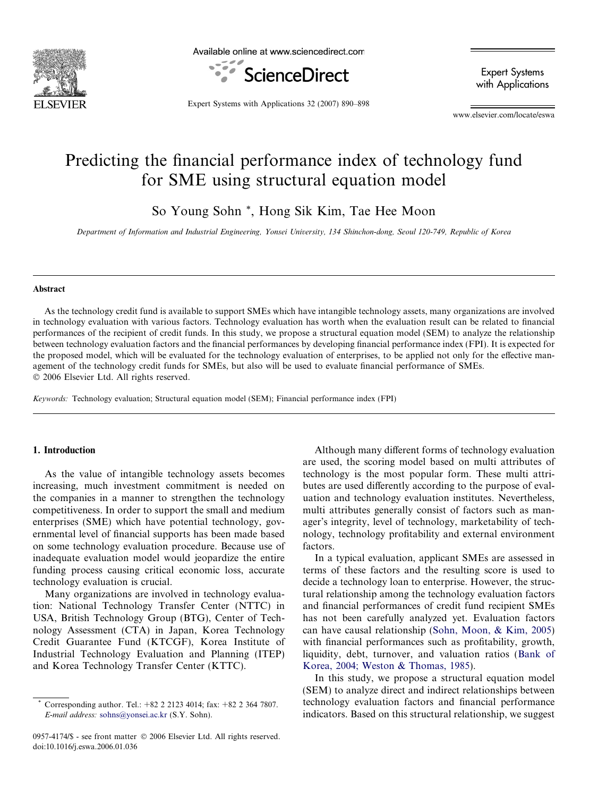

Available online at www.sciencedirect.com



Expert Systems with Applications

Expert Systems with Applications 32 (2007) 890–898

www.elsevier.com/locate/eswa

## Predicting the financial performance index of technology fund for SME using structural equation model

So Young Sohn \*, Hong Sik Kim, Tae Hee Moon

Department of Information and Industrial Engineering, Yonsei University, 134 Shinchon-dong, Seoul 120-749, Republic of Korea

#### Abstract

As the technology credit fund is available to support SMEs which have intangible technology assets, many organizations are involved in technology evaluation with various factors. Technology evaluation has worth when the evaluation result can be related to financial performances of the recipient of credit funds. In this study, we propose a structural equation model (SEM) to analyze the relationship between technology evaluation factors and the financial performances by developing financial performance index (FPI). It is expected for the proposed model, which will be evaluated for the technology evaluation of enterprises, to be applied not only for the effective management of the technology credit funds for SMEs, but also will be used to evaluate financial performance of SMEs.  $© 2006 Elsevier Ltd. All rights reserved.$ 

Keywords: Technology evaluation; Structural equation model (SEM); Financial performance index (FPI)

### 1. Introduction

As the value of intangible technology assets becomes increasing, much investment commitment is needed on the companies in a manner to strengthen the technology competitiveness. In order to support the small and medium enterprises (SME) which have potential technology, governmental level of financial supports has been made based on some technology evaluation procedure. Because use of inadequate evaluation model would jeopardize the entire funding process causing critical economic loss, accurate technology evaluation is crucial.

Many organizations are involved in technology evaluation: National Technology Transfer Center (NTTC) in USA, British Technology Group (BTG), Center of Technology Assessment (CTA) in Japan, Korea Technology Credit Guarantee Fund (KTCGF), Korea Institute of Industrial Technology Evaluation and Planning (ITEP) and Korea Technology Transfer Center (KTTC).

Although many different forms of technology evaluation are used, the scoring model based on multi attributes of technology is the most popular form. These multi attributes are used differently according to the purpose of evaluation and technology evaluation institutes. Nevertheless, multi attributes generally consist of factors such as manager's integrity, level of technology, marketability of technology, technology profitability and external environment factors.

In a typical evaluation, applicant SMEs are assessed in terms of these factors and the resulting score is used to decide a technology loan to enterprise. However, the structural relationship among the technology evaluation factors and financial performances of credit fund recipient SMEs has not been carefully analyzed yet. Evaluation factors can have causal relationship [\(Sohn, Moon, & Kim, 2005](#page--1-0)) with financial performances such as profitability, growth, liquidity, debt, turnover, and valuation ratios [\(Bank of](#page--1-0) [Korea, 2004; Weston & Thomas, 1985](#page--1-0)).

In this study, we propose a structural equation model (SEM) to analyze direct and indirect relationships between technology evaluation factors and financial performance indicators. Based on this structural relationship, we suggest

Corresponding author. Tel.: +82 2 2123 4014; fax: +82 2 364 7807. E-mail address: [sohns@yonsei.ac.kr](mailto:sohns@yonsei.ac.kr) (S.Y. Sohn).

<sup>0957-4174/\$ -</sup> see front matter © 2006 Elsevier Ltd. All rights reserved. doi:10.1016/j.eswa.2006.01.036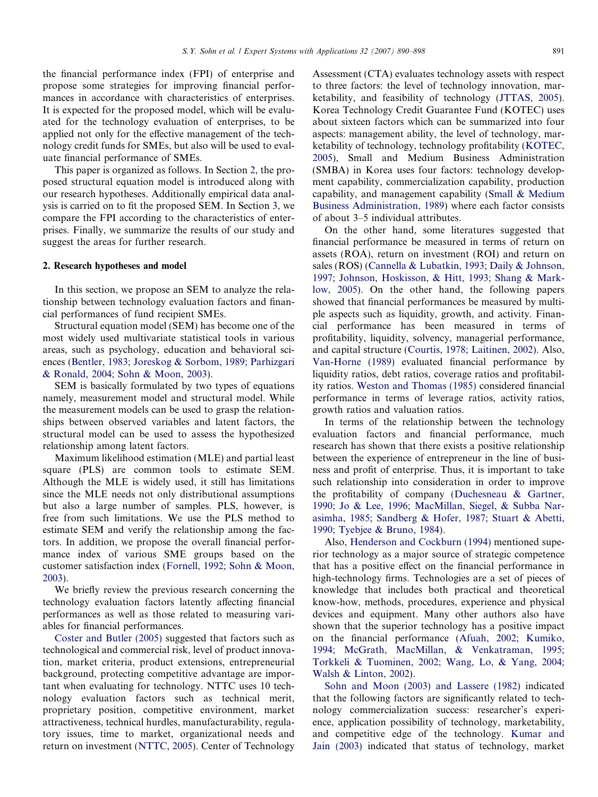the financial performance index (FPI) of enterprise and propose some strategies for improving financial performances in accordance with characteristics of enterprises. It is expected for the proposed model, which will be evaluated for the technology evaluation of enterprises, to be applied not only for the effective management of the technology credit funds for SMEs, but also will be used to evaluate financial performance of SMEs.

This paper is organized as follows. In Section 2, the proposed structural equation model is introduced along with our research hypotheses. Additionally empirical data analysis is carried on to fit the proposed SEM. In Section [3,](#page--1-0) we compare the FPI according to the characteristics of enterprises. Finally, we summarize the results of our study and suggest the areas for further research.

### 2. Research hypotheses and model

In this section, we propose an SEM to analyze the relationship between technology evaluation factors and financial performances of fund recipient SMEs.

Structural equation model (SEM) has become one of the most widely used multivariate statistical tools in various areas, such as psychology, education and behavioral sciences [\(Bentler, 1983; Joreskog & Sorbom, 1989; Parhizgari](#page--1-0) [& Ronald, 2004; Sohn & Moon, 2003](#page--1-0)).

SEM is basically formulated by two types of equations namely, measurement model and structural model. While the measurement models can be used to grasp the relationships between observed variables and latent factors, the structural model can be used to assess the hypothesized relationship among latent factors.

Maximum likelihood estimation (MLE) and partial least square (PLS) are common tools to estimate SEM. Although the MLE is widely used, it still has limitations since the MLE needs not only distributional assumptions but also a large number of samples. PLS, however, is free from such limitations. We use the PLS method to estimate SEM and verify the relationship among the factors. In addition, we propose the overall financial performance index of various SME groups based on the customer satisfaction index ([Fornell, 1992; Sohn & Moon,](#page--1-0) [2003](#page--1-0)).

We briefly review the previous research concerning the technology evaluation factors latently affecting financial performances as well as those related to measuring variables for financial performances.

[Coster and Butler \(2005\)](#page--1-0) suggested that factors such as technological and commercial risk, level of product innovation, market criteria, product extensions, entrepreneurial background, protecting competitive advantage are important when evaluating for technology. NTTC uses 10 technology evaluation factors such as technical merit, proprietary position, competitive environment, market attractiveness, technical hurdles, manufacturability, regulatory issues, time to market, organizational needs and return on investment ([NTTC, 2005\)](#page--1-0). Center of Technology Assessment (CTA) evaluates technology assets with respect to three factors: the level of technology innovation, marketability, and feasibility of technology ([JTTAS, 2005\)](#page--1-0). Korea Technology Credit Guarantee Fund (KOTEC) uses about sixteen factors which can be summarized into four aspects: management ability, the level of technology, marketability of technology, technology profitability ([KOTEC,](#page--1-0) [2005](#page--1-0)), Small and Medium Business Administration (SMBA) in Korea uses four factors: technology development capability, commercialization capability, production capability, and management capability ([Small & Medium](#page--1-0) [Business Administration, 1989\)](#page--1-0) where each factor consists of about 3–5 individual attributes.

On the other hand, some literatures suggested that financial performance be measured in terms of return on assets (ROA), return on investment (ROI) and return on sales (ROS) [\(Cannella & Lubatkin, 1993; Daily & Johnson,](#page--1-0) [1997; Johnson, Hoskisson, & Hitt, 1993; Shang & Mark](#page--1-0)[low, 2005](#page--1-0)). On the other hand, the following papers showed that financial performances be measured by multiple aspects such as liquidity, growth, and activity. Financial performance has been measured in terms of profitability, liquidity, solvency, managerial performance, and capital structure [\(Courtis, 1978; Laitinen, 2002](#page--1-0)). Also, [Van-Horne \(1989\)](#page--1-0) evaluated financial performance by liquidity ratios, debt ratios, coverage ratios and profitability ratios. [Weston and Thomas \(1985\)](#page--1-0) considered financial performance in terms of leverage ratios, activity ratios, growth ratios and valuation ratios.

In terms of the relationship between the technology evaluation factors and financial performance, much research has shown that there exists a positive relationship between the experience of entrepreneur in the line of business and profit of enterprise. Thus, it is important to take such relationship into consideration in order to improve the profitability of company ([Duchesneau & Gartner,](#page--1-0) [1990; Jo & Lee, 1996; MacMillan, Siegel, & Subba Nar](#page--1-0)[asimha, 1985; Sandberg & Hofer, 1987; Stuart & Abetti,](#page--1-0) [1990; Tyebjee & Bruno, 1984\)](#page--1-0).

Also, [Henderson and Cockburn \(1994\)](#page--1-0) mentioned superior technology as a major source of strategic competence that has a positive effect on the financial performance in high-technology firms. Technologies are a set of pieces of knowledge that includes both practical and theoretical know-how, methods, procedures, experience and physical devices and equipment. Many other authors also have shown that the superior technology has a positive impact on the financial performance ([Afuah, 2002; Kumiko,](#page--1-0) [1994; McGrath, MacMillan, & Venkatraman, 1995;](#page--1-0) [Torkkeli & Tuominen, 2002; Wang, Lo, & Yang, 2004;](#page--1-0) [Walsh & Linton, 2002\)](#page--1-0).

[Sohn and Moon \(2003\) and Lassere \(1982\)](#page--1-0) indicated that the following factors are significantly related to technology commercialization success: researcher's experience, application possibility of technology, marketability, and competitive edge of the technology. [Kumar and](#page--1-0) [Jain \(2003\)](#page--1-0) indicated that status of technology, market